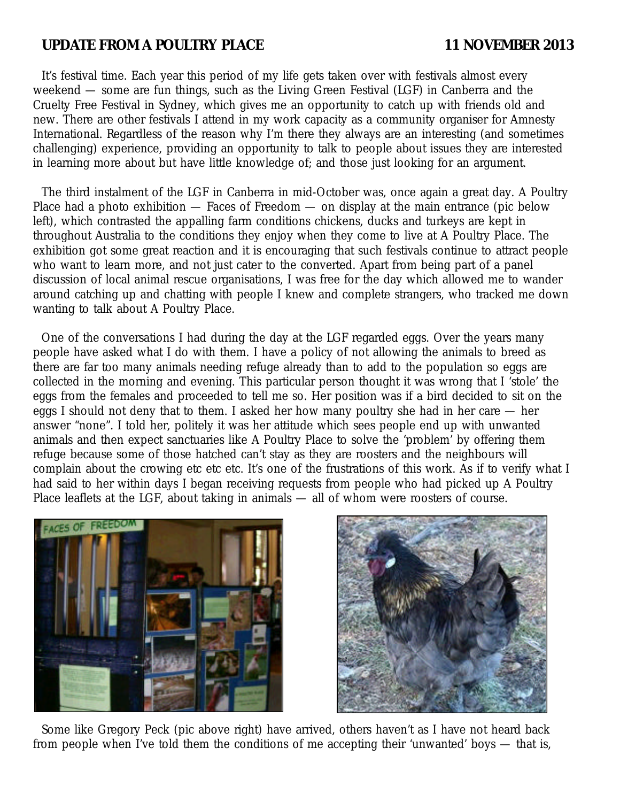# UPDATE FROM A POULTRY PLACE 11 NOVEMBER 2013

It's festival time. Each year this period of my life gets taken over with festivals almost every weekend — some are fun things, such as the Living Green Festival (LGF) in Canberra and the Cruelty Free Festival in Sydney, which gives me an opportunity to catch up with friends old and new. There are other festivals I attend in my work capacity as a community organiser for Amnesty International. Regardless of the reason why I'm there they always are an interesting (and sometimes challenging) experience, providing an opportunity to talk to people about issues they are interested in learning more about but have little knowledge of; and those just looking for an argument.

The third instalment of the LGF in Canberra in mid-October was, once again a great day. A Poultry Place had a photo exhibition  $-$  Faces of Freedom  $-$  on display at the main entrance (pic below left), which contrasted the appalling farm conditions chickens, ducks and turkeys are kept in throughout Australia to the conditions they enjoy when they come to live at A Poultry Place. The exhibition got some great reaction and it is encouraging that such festivals continue to attract people who want to learn more, and not just cater to the converted. Apart from being part of a panel discussion of local animal rescue organisations, I was free for the day which allowed me to wander around catching up and chatting with people I knew and complete strangers, who tracked me down wanting to talk about A Poultry Place.

One of the conversations I had during the day at the LGF regarded eggs. Over the years many people have asked what I do with them. I have a policy of not allowing the animals to breed as there are far too many animals needing refuge already than to add to the population so eggs are collected in the morning and evening. This particular person thought it was wrong that I 'stole' the eggs from the females and proceeded to tell me so. Her position was if a bird decided to sit on the eggs I should not deny that to them. I asked her how many poultry she had in her care — her answer "none". I told her, politely it was her attitude which sees people end up with unwanted animals and then expect sanctuaries like A Poultry Place to solve the 'problem' by offering them refuge because some of those hatched can't stay as they are roosters and the neighbours will complain about the crowing etc etc etc. It's one of the frustrations of this work. As if to verify what I had said to her within days I began receiving requests from people who had picked up A Poultry Place leaflets at the LGF, about taking in animals — all of whom were roosters of course.





Some like Gregory Peck (pic above right) have arrived, others haven't as I have not heard back from people when I've told them the conditions of me accepting their 'unwanted' boys — that is,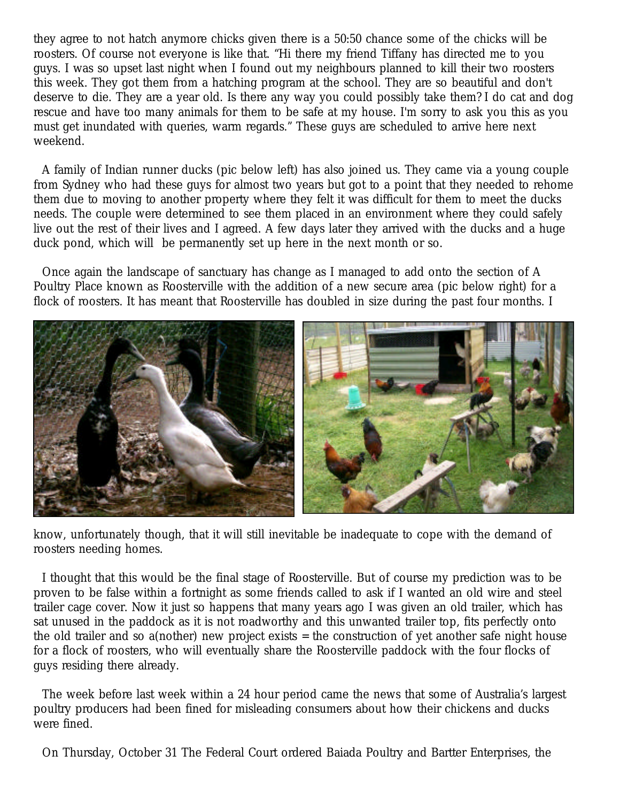they agree to not hatch anymore chicks given there is a 50:50 chance some of the chicks will be roosters. Of course not everyone is like that. "Hi there my friend Tiffany has directed me to you guys. I was so upset last night when I found out my neighbours planned to kill their two roosters this week. They got them from a hatching program at the school. They are so beautiful and don't deserve to die. They are a year old. Is there any way you could possibly take them? I do cat and dog rescue and have too many animals for them to be safe at my house. I'm sorry to ask you this as you must get inundated with queries, warm regards." These guys are scheduled to arrive here next weekend.

A family of Indian runner ducks (pic below left) has also joined us. They came via a young couple from Sydney who had these guys for almost two years but got to a point that they needed to rehome them due to moving to another property where they felt it was difficult for them to meet the ducks needs. The couple were determined to see them placed in an environment where they could safely live out the rest of their lives and I agreed. A few days later they arrived with the ducks and a huge duck pond, which will be permanently set up here in the next month or so.

Once again the landscape of sanctuary has change as I managed to add onto the section of A Poultry Place known as Roosterville with the addition of a new secure area (pic below right) for a flock of roosters. It has meant that Roosterville has doubled in size during the past four months. I



know, unfortunately though, that it will still inevitable be inadequate to cope with the demand of roosters needing homes.

I thought that this would be the final stage of Roosterville. But of course my prediction was to be proven to be false within a fortnight as some friends called to ask if I wanted an old wire and steel trailer cage cover. Now it just so happens that many years ago I was given an old trailer, which has sat unused in the paddock as it is not roadworthy and this unwanted trailer top, fits perfectly onto the old trailer and so a(nother) new project exists = the construction of yet another safe night house for a flock of roosters, who will eventually share the Roosterville paddock with the four flocks of guys residing there already.

The week before last week within a 24 hour period came the news that some of Australia's largest poultry producers had been fined for misleading consumers about how their chickens and ducks were fined.

On Thursday, October 31 The Federal Court ordered Baiada Poultry and Bartter Enterprises, the